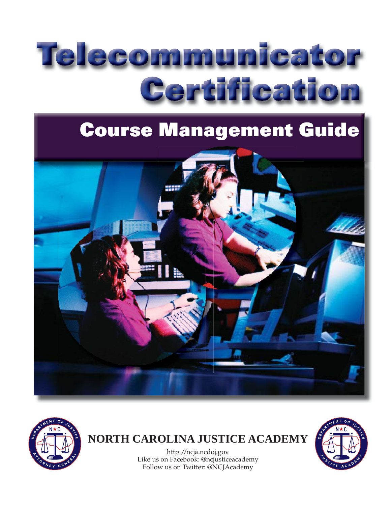# Telecommunicator Certification

## **Course Management Guide**





### **NORTH CAROLINA JUSTICE ACADEMY**

http://ncja.ncdoj.gov Like us on Facebook: @ncjusticeacademy Follow us on Twitter: @NCJAcademy

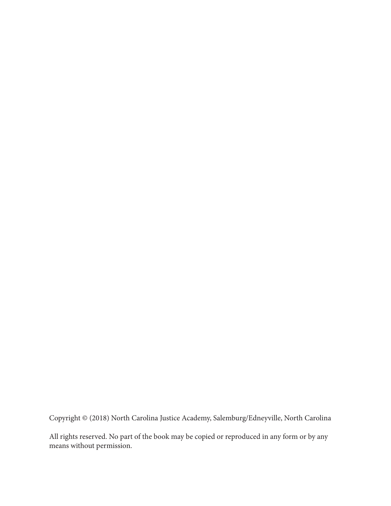Copyright © (2018) North Carolina Justice Academy, Salemburg/Edneyville, North Carolina

All rights reserved. No part of the book may be copied or reproduced in any form or by any means without permission.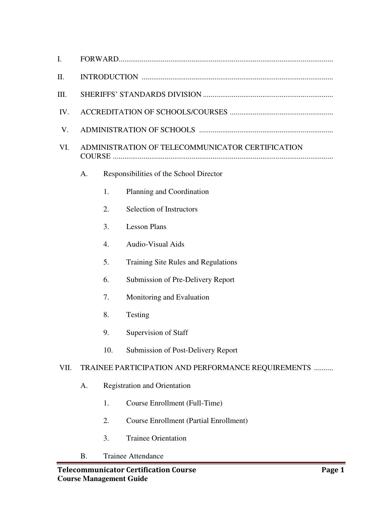| $\mathbf{I}$ . |                                                  |                                                    |                                               |  |  |  |  |
|----------------|--------------------------------------------------|----------------------------------------------------|-----------------------------------------------|--|--|--|--|
| II.            |                                                  |                                                    |                                               |  |  |  |  |
| Ш.             |                                                  |                                                    |                                               |  |  |  |  |
| IV.            |                                                  |                                                    |                                               |  |  |  |  |
| V.             |                                                  |                                                    |                                               |  |  |  |  |
| VI.            | ADMINISTRATION OF TELECOMMUNICATOR CERTIFICATION |                                                    |                                               |  |  |  |  |
|                | Responsibilities of the School Director<br>A.    |                                                    |                                               |  |  |  |  |
|                |                                                  | 1.                                                 | Planning and Coordination                     |  |  |  |  |
|                |                                                  | 2.                                                 | <b>Selection of Instructors</b>               |  |  |  |  |
|                |                                                  | 3.                                                 | <b>Lesson Plans</b>                           |  |  |  |  |
|                |                                                  | 4.                                                 | <b>Audio-Visual Aids</b>                      |  |  |  |  |
|                |                                                  | 5.                                                 | Training Site Rules and Regulations           |  |  |  |  |
|                |                                                  | 6.                                                 | Submission of Pre-Delivery Report             |  |  |  |  |
|                |                                                  | 7.                                                 | Monitoring and Evaluation                     |  |  |  |  |
|                |                                                  | 8.                                                 | Testing                                       |  |  |  |  |
|                |                                                  | 9.                                                 | Supervision of Staff                          |  |  |  |  |
|                |                                                  | 10.                                                | Submission of Post-Delivery Report            |  |  |  |  |
| VII.           |                                                  | TRAINEE PARTICIPATION AND PERFORMANCE REQUIREMENTS |                                               |  |  |  |  |
|                | A.                                               |                                                    | <b>Registration and Orientation</b>           |  |  |  |  |
|                |                                                  | 1.                                                 | Course Enrollment (Full-Time)                 |  |  |  |  |
|                |                                                  | 2.                                                 | <b>Course Enrollment (Partial Enrollment)</b> |  |  |  |  |
|                |                                                  | 3.                                                 | <b>Trainee Orientation</b>                    |  |  |  |  |

B. Trainee Attendance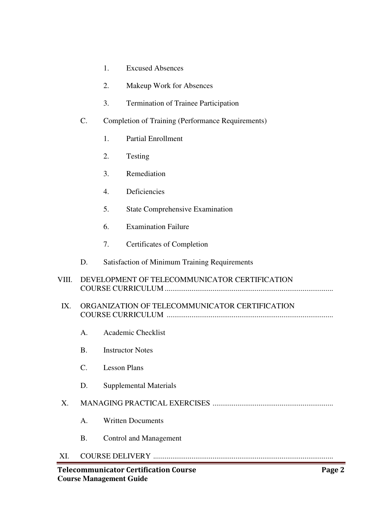| <b>Excused Absences</b> |  |
|-------------------------|--|
|-------------------------|--|

- 2. Makeup Work for Absences
- 3. Termination of Trainee Participation
- C. Completion of Training (Performance Requirements)
	- 1. Partial Enrollment
	- 2. Testing
	- 3. Remediation
	- 4. Deficiencies
	- 5. State Comprehensive Examination
	- 6. Examination Failure
	- 7. Certificates of Completion

#### D. Satisfaction of Minimum Training Requirements

VIII. DEVELOPMENT OF TELECOMMUNICATOR CERTIFICATION COURSE CURRICULUM ........................................................................................

#### IX. ORGANIZATION OF TELECOMMUNICATOR CERTIFICATION COURSE CURRICULUM .......................................................................................

- A. Academic Checklist
- B. Instructor Notes
- C. Lesson Plans
- D. Supplemental Materials

#### X. MANAGING PRACTICAL EXERCISES ...............................................................

- A. Written Documents
- B. Control and Management

#### XI. COURSE DELIVERY ..............................................................................................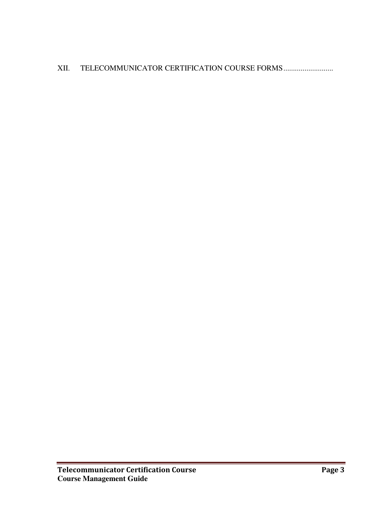#### XII. TELECOMMUNICATOR CERTIFICATION COURSE FORMS................................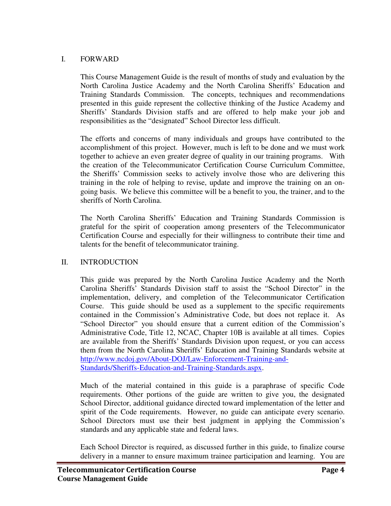#### I. FORWARD

This Course Management Guide is the result of months of study and evaluation by the North Carolina Justice Academy and the North Carolina Sheriffs' Education and Training Standards Commission. The concepts, techniques and recommendations presented in this guide represent the collective thinking of the Justice Academy and Sheriffs' Standards Division staffs and are offered to help make your job and responsibilities as the "designated" School Director less difficult.

The efforts and concerns of many individuals and groups have contributed to the accomplishment of this project. However, much is left to be done and we must work together to achieve an even greater degree of quality in our training programs. With the creation of the Telecommunicator Certification Course Curriculum Committee, the Sheriffs' Commission seeks to actively involve those who are delivering this training in the role of helping to revise, update and improve the training on an ongoing basis. We believe this committee will be a benefit to you, the trainer, and to the sheriffs of North Carolina.

The North Carolina Sheriffs' Education and Training Standards Commission is grateful for the spirit of cooperation among presenters of the Telecommunicator Certification Course and especially for their willingness to contribute their time and talents for the benefit of telecommunicator training.

#### II. INTRODUCTION

This guide was prepared by the North Carolina Justice Academy and the North Carolina Sheriffs' Standards Division staff to assist the "School Director" in the implementation, delivery, and completion of the Telecommunicator Certification Course. This guide should be used as a supplement to the specific requirements contained in the Commission's Administrative Code, but does not replace it. As "School Director" you should ensure that a current edition of the Commission's Administrative Code, Title 12, NCAC, Chapter 10B is available at all times. Copies are available from the Sheriffs' Standards Division upon request, or you can access them from the North Carolina Sheriffs' Education and Training Standards website at http://www.ncdoj.gov/About-DOJ/Law-Enforcement-Training-and-Standards/Sheriffs-Education-and-Training-Standards.aspx.

Much of the material contained in this guide is a paraphrase of specific Code requirements. Other portions of the guide are written to give you, the designated School Director, additional guidance directed toward implementation of the letter and spirit of the Code requirements. However, no guide can anticipate every scenario. School Directors must use their best judgment in applying the Commission's standards and any applicable state and federal laws.

Each School Director is required, as discussed further in this guide, to finalize course delivery in a manner to ensure maximum trainee participation and learning. You are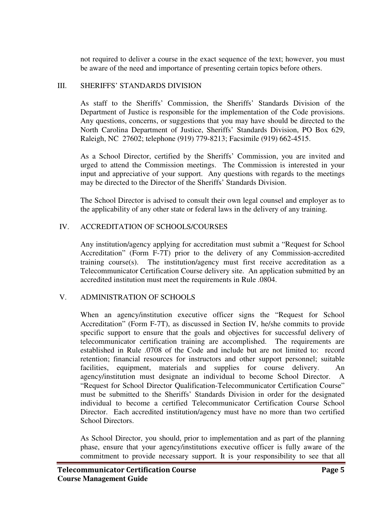not required to deliver a course in the exact sequence of the text; however, you must be aware of the need and importance of presenting certain topics before others.

#### III. SHERIFFS' STANDARDS DIVISION

As staff to the Sheriffs' Commission, the Sheriffs' Standards Division of the Department of Justice is responsible for the implementation of the Code provisions. Any questions, concerns, or suggestions that you may have should be directed to the North Carolina Department of Justice, Sheriffs' Standards Division, PO Box 629, Raleigh, NC 27602; telephone (919) 779-8213; Facsimile (919) 662-4515.

As a School Director, certified by the Sheriffs' Commission, you are invited and urged to attend the Commission meetings. The Commission is interested in your input and appreciative of your support. Any questions with regards to the meetings may be directed to the Director of the Sheriffs' Standards Division.

The School Director is advised to consult their own legal counsel and employer as to the applicability of any other state or federal laws in the delivery of any training.

#### IV. ACCREDITATION OF SCHOOLS/COURSES

Any institution/agency applying for accreditation must submit a "Request for School Accreditation" (Form F-7T) prior to the delivery of any Commission-accredited training course(s). The institution/agency must first receive accreditation as a Telecommunicator Certification Course delivery site. An application submitted by an accredited institution must meet the requirements in Rule .0804.

#### V. ADMINISTRATION OF SCHOOLS

When an agency/institution executive officer signs the "Request for School Accreditation" (Form F-7T), as discussed in Section IV, he/she commits to provide specific support to ensure that the goals and objectives for successful delivery of telecommunicator certification training are accomplished. The requirements are established in Rule .0708 of the Code and include but are not limited to: record retention; financial resources for instructors and other support personnel; suitable facilities, equipment, materials and supplies for course delivery. An agency/institution must designate an individual to become School Director. A "Request for School Director Qualification-Telecommunicator Certification Course" must be submitted to the Sheriffs' Standards Division in order for the designated individual to become a certified Telecommunicator Certification Course School Director. Each accredited institution/agency must have no more than two certified School Directors.

As School Director, you should, prior to implementation and as part of the planning phase, ensure that your agency/institutions executive officer is fully aware of the commitment to provide necessary support. It is your responsibility to see that all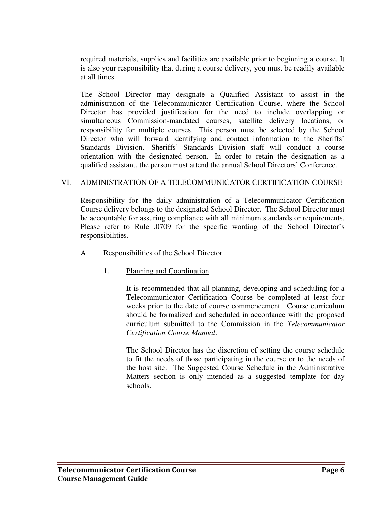required materials, supplies and facilities are available prior to beginning a course. It is also your responsibility that during a course delivery, you must be readily available at all times.

The School Director may designate a Qualified Assistant to assist in the administration of the Telecommunicator Certification Course, where the School Director has provided justification for the need to include overlapping or simultaneous Commission-mandated courses, satellite delivery locations, or responsibility for multiple courses. This person must be selected by the School Director who will forward identifying and contact information to the Sheriffs' Standards Division. Sheriffs' Standards Division staff will conduct a course orientation with the designated person. In order to retain the designation as a qualified assistant, the person must attend the annual School Directors' Conference.

#### VI. ADMINISTRATION OF A TELECOMMUNICATOR CERTIFICATION COURSE

Responsibility for the daily administration of a Telecommunicator Certification Course delivery belongs to the designated School Director. The School Director must be accountable for assuring compliance with all minimum standards or requirements. Please refer to Rule .0709 for the specific wording of the School Director's responsibilities.

- A. Responsibilities of the School Director
	- 1. Planning and Coordination

It is recommended that all planning, developing and scheduling for a Telecommunicator Certification Course be completed at least four weeks prior to the date of course commencement. Course curriculum should be formalized and scheduled in accordance with the proposed curriculum submitted to the Commission in the *Telecommunicator Certification Course Manual*.

The School Director has the discretion of setting the course schedule to fit the needs of those participating in the course or to the needs of the host site. The Suggested Course Schedule in the Administrative Matters section is only intended as a suggested template for day schools.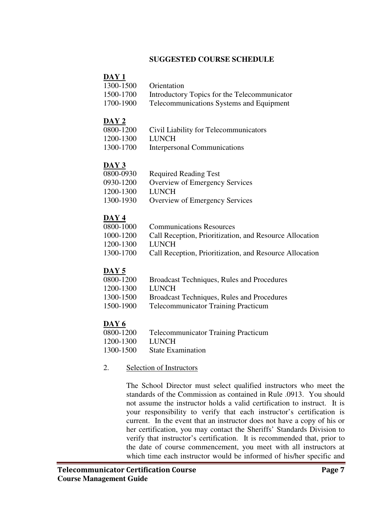#### **SUGGESTED COURSE SCHEDULE**

#### **DAY 1**

| 1300-1500 | <b>Orientation</b>                           |
|-----------|----------------------------------------------|
| 1500-1700 | Introductory Topics for the Telecommunicator |
| 1700-1900 | Telecommunications Systems and Faugument     |

1700-1900 Telecommunications Systems and Equipment

#### **DAY 2**

- 0800-1200 Civil Liability for Telecommunicators
- 1200-1300 LUNCH
- 1300-1700 Interpersonal Communications

#### **DAY 3**

| 0800-0930 | <b>Required Reading Test</b>   |
|-----------|--------------------------------|
| 0930-1200 | Overview of Emergency Services |
| 1200-1300 | LUNCH                          |
| 1300-1930 | Overview of Emergency Services |

#### **DAY 4**

| 0800-1000 | <b>Communications Resources</b>                         |
|-----------|---------------------------------------------------------|
| 1000-1200 | Call Reception, Prioritization, and Resource Allocation |
| 1200-1300 | <b>LUNCH</b>                                            |
| 1300-1700 | Call Reception, Prioritization, and Resource Allocation |

#### **DAY 5**

- 0800-1200 Broadcast Techniques, Rules and Procedures
- 1200-1300 LUNCH
- 1300-1500 Broadcast Techniques, Rules and Procedures
- 1500-1900 Telecommunicator Training Practicum

- $\frac{\bf{DAY 6}}{0800-1200}$ Telecommunicator Training Practicum
- 1200-1300 LUNCH
- 1300-1500 State Examination
- 2. Selection of Instructors

The School Director must select qualified instructors who meet the standards of the Commission as contained in Rule .0913. You should not assume the instructor holds a valid certification to instruct. It is your responsibility to verify that each instructor's certification is current. In the event that an instructor does not have a copy of his or her certification, you may contact the Sheriffs' Standards Division to verify that instructor's certification. It is recommended that, prior to the date of course commencement, you meet with all instructors at which time each instructor would be informed of his/her specific and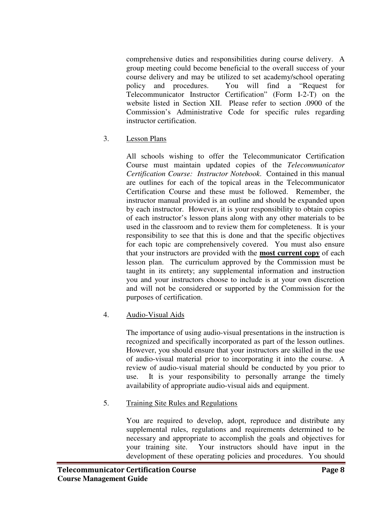comprehensive duties and responsibilities during course delivery. A group meeting could become beneficial to the overall success of your course delivery and may be utilized to set academy/school operating policy and procedures. You will find a "Request for Telecommunicator Instructor Certification" (Form I-2-T) on the website listed in Section XII. Please refer to section .0900 of the Commission's Administrative Code for specific rules regarding instructor certification.

3. Lesson Plans

All schools wishing to offer the Telecommunicator Certification Course must maintain updated copies of the *Telecommunicator Certification Course: Instructor Notebook*. Contained in this manual are outlines for each of the topical areas in the Telecommunicator Certification Course and these must be followed. Remember, the instructor manual provided is an outline and should be expanded upon by each instructor. However, it is your responsibility to obtain copies of each instructor's lesson plans along with any other materials to be used in the classroom and to review them for completeness. It is your responsibility to see that this is done and that the specific objectives for each topic are comprehensively covered. You must also ensure that your instructors are provided with the **most current copy** of each lesson plan. The curriculum approved by the Commission must be taught in its entirety; any supplemental information and instruction you and your instructors choose to include is at your own discretion and will not be considered or supported by the Commission for the purposes of certification.

#### 4. Audio-Visual Aids

The importance of using audio-visual presentations in the instruction is recognized and specifically incorporated as part of the lesson outlines. However, you should ensure that your instructors are skilled in the use of audio-visual material prior to incorporating it into the course. A review of audio-visual material should be conducted by you prior to use. It is your responsibility to personally arrange the timely availability of appropriate audio-visual aids and equipment.

#### 5. Training Site Rules and Regulations

You are required to develop, adopt, reproduce and distribute any supplemental rules, regulations and requirements determined to be necessary and appropriate to accomplish the goals and objectives for your training site. Your instructors should have input in the development of these operating policies and procedures. You should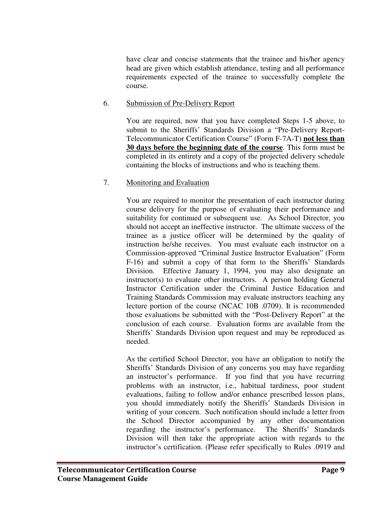have clear and concise statements that the trainee and his/her agency head are given which establish attendance, testing and all performance requirements expected of the trainee to successfully complete the course.

#### 6. Submission of Pre-Delivery Report

You are required, now that you have completed Steps 1-5 above, to submit to the Sheriffs' Standards Division a "Pre-Delivery Report-Telecommunicator Certification Course" (Form F-7A-T) **not less than 30 days before the beginning date of the course**. This form must be completed in its entirety and a copy of the projected delivery schedule containing the blocks of instructions and who is teaching them.

#### 7. Monitoring and Evaluation

You are required to monitor the presentation of each instructor during course delivery for the purpose of evaluating their performance and suitability for continued or subsequent use. As School Director, you should not accept an ineffective instructor. The ultimate success of the trainee as a justice officer will be determined by the quality of instruction he/she receives. You must evaluate each instructor on a Commission-approved "Criminal Justice Instructor Evaluation" (Form F-16) and submit a copy of that form to the Sheriffs' Standards Division. Effective January 1, 1994, you may also designate an instructor(s) to evaluate other instructors. A person holding General Instructor Certification under the Criminal Justice Education and Training Standards Commission may evaluate instructors teaching any lecture portion of the course (NCAC 10B .0709). It is recommended those evaluations be submitted with the "Post-Delivery Report" at the conclusion of each course. Evaluation forms are available from the Sheriffs' Standards Division upon request and may be reproduced as needed.

As the certified School Director, you have an obligation to notify the Sheriffs' Standards Division of any concerns you may have regarding an instructor's performance. If you find that you have recurring problems with an instructor, i.e., habitual tardiness, poor student evaluations, failing to follow and/or enhance prescribed lesson plans, you should immediately notify the Sheriffs' Standards Division in writing of your concern. Such notification should include a letter from the School Director accompanied by any other documentation regarding the instructor's performance. The Sheriffs' Standards Division will then take the appropriate action with regards to the instructor's certification. (Please refer specifically to Rules .0919 and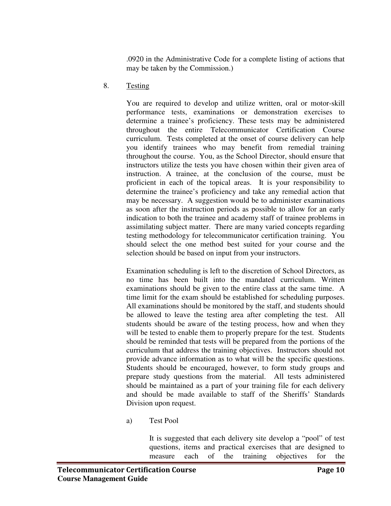.0920 in the Administrative Code for a complete listing of actions that may be taken by the Commission.)

8. Testing

You are required to develop and utilize written, oral or motor-skill performance tests, examinations or demonstration exercises to determine a trainee's proficiency. These tests may be administered throughout the entire Telecommunicator Certification Course curriculum. Tests completed at the onset of course delivery can help you identify trainees who may benefit from remedial training throughout the course. You, as the School Director, should ensure that instructors utilize the tests you have chosen within their given area of instruction. A trainee, at the conclusion of the course, must be proficient in each of the topical areas. It is your responsibility to determine the trainee's proficiency and take any remedial action that may be necessary. A suggestion would be to administer examinations as soon after the instruction periods as possible to allow for an early indication to both the trainee and academy staff of trainee problems in assimilating subject matter. There are many varied concepts regarding testing methodology for telecommunicator certification training. You should select the one method best suited for your course and the selection should be based on input from your instructors.

Examination scheduling is left to the discretion of School Directors, as no time has been built into the mandated curriculum. Written examinations should be given to the entire class at the same time. A time limit for the exam should be established for scheduling purposes. All examinations should be monitored by the staff, and students should be allowed to leave the testing area after completing the test. All students should be aware of the testing process, how and when they will be tested to enable them to properly prepare for the test. Students should be reminded that tests will be prepared from the portions of the curriculum that address the training objectives. Instructors should not provide advance information as to what will be the specific questions. Students should be encouraged, however, to form study groups and prepare study questions from the material. All tests administered should be maintained as a part of your training file for each delivery and should be made available to staff of the Sheriffs' Standards Division upon request.

a) Test Pool

It is suggested that each delivery site develop a "pool" of test questions, items and practical exercises that are designed to measure each of the training objectives for the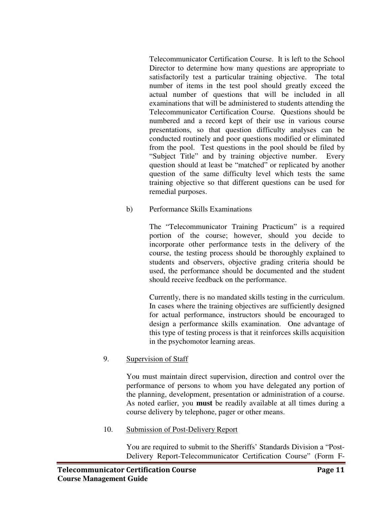Telecommunicator Certification Course. It is left to the School Director to determine how many questions are appropriate to satisfactorily test a particular training objective. The total number of items in the test pool should greatly exceed the actual number of questions that will be included in all examinations that will be administered to students attending the Telecommunicator Certification Course. Questions should be numbered and a record kept of their use in various course presentations, so that question difficulty analyses can be conducted routinely and poor questions modified or eliminated from the pool. Test questions in the pool should be filed by "Subject Title" and by training objective number. Every question should at least be "matched" or replicated by another question of the same difficulty level which tests the same training objective so that different questions can be used for remedial purposes.

b) Performance Skills Examinations

The "Telecommunicator Training Practicum" is a required portion of the course; however, should you decide to incorporate other performance tests in the delivery of the course, the testing process should be thoroughly explained to students and observers, objective grading criteria should be used, the performance should be documented and the student should receive feedback on the performance.

Currently, there is no mandated skills testing in the curriculum. In cases where the training objectives are sufficiently designed for actual performance, instructors should be encouraged to design a performance skills examination. One advantage of this type of testing process is that it reinforces skills acquisition in the psychomotor learning areas.

#### 9. Supervision of Staff

You must maintain direct supervision, direction and control over the performance of persons to whom you have delegated any portion of the planning, development, presentation or administration of a course. As noted earlier, you **must** be readily available at all times during a course delivery by telephone, pager or other means.

#### 10. Submission of Post-Delivery Report

You are required to submit to the Sheriffs' Standards Division a "Post-Delivery Report-Telecommunicator Certification Course" (Form F-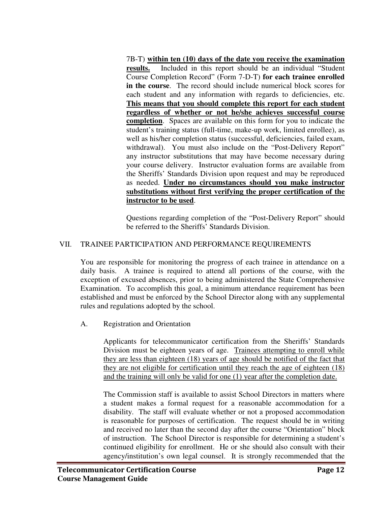7B-T) **within ten (10) days of the date you receive the examination results.** Included in this report should be an individual "Student Course Completion Record" (Form 7-D-T) **for each trainee enrolled in the course**. The record should include numerical block scores for each student and any information with regards to deficiencies, etc. **This means that you should complete this report for each student regardless of whether or not he/she achieves successful course completion**. Spaces are available on this form for you to indicate the student's training status (full-time, make-up work, limited enrollee), as well as his/her completion status (successful, deficiencies, failed exam, withdrawal). You must also include on the "Post-Delivery Report" any instructor substitutions that may have become necessary during your course delivery. Instructor evaluation forms are available from the Sheriffs' Standards Division upon request and may be reproduced as needed. **Under no circumstances should you make instructor substitutions without first verifying the proper certification of the instructor to be used**.

Questions regarding completion of the "Post-Delivery Report" should be referred to the Sheriffs' Standards Division.

#### VII. TRAINEE PARTICIPATION AND PERFORMANCE REQUIREMENTS

You are responsible for monitoring the progress of each trainee in attendance on a daily basis. A trainee is required to attend all portions of the course, with the exception of excused absences, prior to being administered the State Comprehensive Examination. To accomplish this goal, a minimum attendance requirement has been established and must be enforced by the School Director along with any supplemental rules and regulations adopted by the school.

#### A. Registration and Orientation

Applicants for telecommunicator certification from the Sheriffs' Standards Division must be eighteen years of age. Trainees attempting to enroll while they are less than eighteen (18) years of age should be notified of the fact that they are not eligible for certification until they reach the age of eighteen (18) and the training will only be valid for one (1) year after the completion date.

The Commission staff is available to assist School Directors in matters where a student makes a formal request for a reasonable accommodation for a disability. The staff will evaluate whether or not a proposed accommodation is reasonable for purposes of certification. The request should be in writing and received no later than the second day after the course "Orientation" block of instruction. The School Director is responsible for determining a student's continued eligibility for enrollment. He or she should also consult with their agency/institution's own legal counsel. It is strongly recommended that the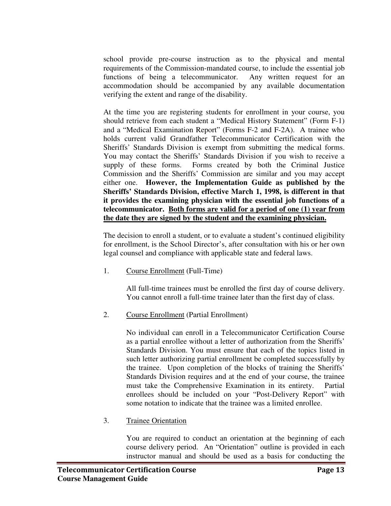school provide pre-course instruction as to the physical and mental requirements of the Commission-mandated course, to include the essential job functions of being a telecommunicator. Any written request for an accommodation should be accompanied by any available documentation verifying the extent and range of the disability.

At the time you are registering students for enrollment in your course, you should retrieve from each student a "Medical History Statement" (Form F-1) and a "Medical Examination Report" (Forms F-2 and F-2A). A trainee who holds current valid Grandfather Telecommunicator Certification with the Sheriffs' Standards Division is exempt from submitting the medical forms. You may contact the Sheriffs' Standards Division if you wish to receive a supply of these forms. Forms created by both the Criminal Justice Commission and the Sheriffs' Commission are similar and you may accept either one. **However, the Implementation Guide as published by the Sheriffs' Standards Division, effective March 1, 1998, is different in that it provides the examining physician with the essential job functions of a telecommunicator. Both forms are valid for a period of one (1) year from the date they are signed by the student and the examining physician.**

The decision to enroll a student, or to evaluate a student's continued eligibility for enrollment, is the School Director's, after consultation with his or her own legal counsel and compliance with applicable state and federal laws.

1. Course Enrollment (Full-Time)

All full-time trainees must be enrolled the first day of course delivery. You cannot enroll a full-time trainee later than the first day of class.

2. Course Enrollment (Partial Enrollment)

No individual can enroll in a Telecommunicator Certification Course as a partial enrollee without a letter of authorization from the Sheriffs' Standards Division. You must ensure that each of the topics listed in such letter authorizing partial enrollment be completed successfully by the trainee. Upon completion of the blocks of training the Sheriffs' Standards Division requires and at the end of your course, the trainee must take the Comprehensive Examination in its entirety. Partial enrollees should be included on your "Post-Delivery Report" with some notation to indicate that the trainee was a limited enrollee.

3. Trainee Orientation

You are required to conduct an orientation at the beginning of each course delivery period. An "Orientation" outline is provided in each instructor manual and should be used as a basis for conducting the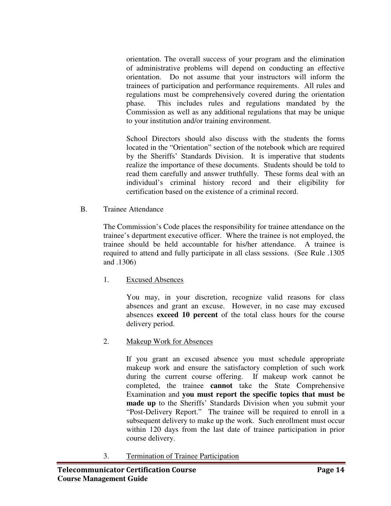orientation. The overall success of your program and the elimination of administrative problems will depend on conducting an effective orientation. Do not assume that your instructors will inform the trainees of participation and performance requirements. All rules and regulations must be comprehensively covered during the orientation phase. This includes rules and regulations mandated by the Commission as well as any additional regulations that may be unique to your institution and/or training environment.

School Directors should also discuss with the students the forms located in the "Orientation" section of the notebook which are required by the Sheriffs' Standards Division. It is imperative that students realize the importance of these documents. Students should be told to read them carefully and answer truthfully. These forms deal with an individual's criminal history record and their eligibility for certification based on the existence of a criminal record.

B. Trainee Attendance

The Commission's Code places the responsibility for trainee attendance on the trainee's department executive officer. Where the trainee is not employed, the trainee should be held accountable for his/her attendance. A trainee is required to attend and fully participate in all class sessions. (See Rule .1305 and .1306)

1. Excused Absences

You may, in your discretion, recognize valid reasons for class absences and grant an excuse. However, in no case may excused absences **exceed 10 percent** of the total class hours for the course delivery period.

2. Makeup Work for Absences

If you grant an excused absence you must schedule appropriate makeup work and ensure the satisfactory completion of such work during the current course offering. If makeup work cannot be completed, the trainee **cannot** take the State Comprehensive Examination and **you must report the specific topics that must be made up** to the Sheriffs' Standards Division when you submit your "Post-Delivery Report." The trainee will be required to enroll in a subsequent delivery to make up the work. Such enrollment must occur within 120 days from the last date of trainee participation in prior course delivery.

3. Termination of Trainee Participation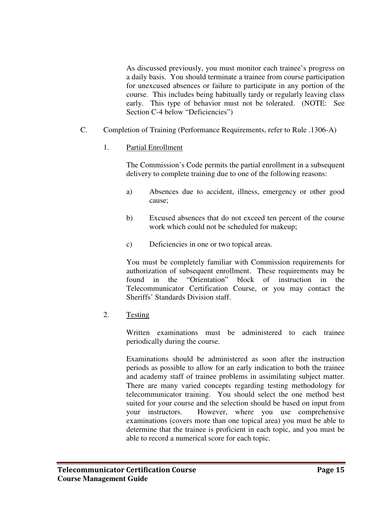As discussed previously, you must monitor each trainee's progress on a daily basis. You should terminate a trainee from course participation for unexcused absences or failure to participate in any portion of the course. This includes being habitually tardy or regularly leaving class early. This type of behavior must not be tolerated. (NOTE: See Section C-4 below "Deficiencies")

- C. Completion of Training (Performance Requirements, refer to Rule .1306-A)
	- 1. Partial Enrollment

The Commission's Code permits the partial enrollment in a subsequent delivery to complete training due to one of the following reasons:

- a) Absences due to accident, illness, emergency or other good cause;
- b) Excused absences that do not exceed ten percent of the course work which could not be scheduled for makeup;
- c) Deficiencies in one or two topical areas.

You must be completely familiar with Commission requirements for authorization of subsequent enrollment. These requirements may be found in the "Orientation" block of instruction in the Telecommunicator Certification Course, or you may contact the Sheriffs' Standards Division staff.

2. Testing

Written examinations must be administered to each trainee periodically during the course.

Examinations should be administered as soon after the instruction periods as possible to allow for an early indication to both the trainee and academy staff of trainee problems in assimilating subject matter. There are many varied concepts regarding testing methodology for telecommunicator training. You should select the one method best suited for your course and the selection should be based on input from your instructors. However, where you use comprehensive examinations (covers more than one topical area) you must be able to determine that the trainee is proficient in each topic, and you must be able to record a numerical score for each topic.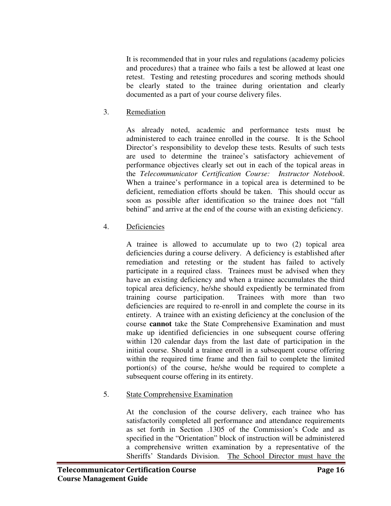It is recommended that in your rules and regulations (academy policies and procedures) that a trainee who fails a test be allowed at least one retest. Testing and retesting procedures and scoring methods should be clearly stated to the trainee during orientation and clearly documented as a part of your course delivery files.

3. Remediation

As already noted, academic and performance tests must be administered to each trainee enrolled in the course. It is the School Director's responsibility to develop these tests. Results of such tests are used to determine the trainee's satisfactory achievement of performance objectives clearly set out in each of the topical areas in the *Telecommunicator Certification Course: Instructor Notebook*. When a trainee's performance in a topical area is determined to be deficient, remediation efforts should be taken. This should occur as soon as possible after identification so the trainee does not "fall behind" and arrive at the end of the course with an existing deficiency.

#### 4. Deficiencies

A trainee is allowed to accumulate up to two (2) topical area deficiencies during a course delivery. A deficiency is established after remediation and retesting or the student has failed to actively participate in a required class. Trainees must be advised when they have an existing deficiency and when a trainee accumulates the third topical area deficiency, he/she should expediently be terminated from training course participation. Trainees with more than two deficiencies are required to re-enroll in and complete the course in its entirety. A trainee with an existing deficiency at the conclusion of the course **cannot** take the State Comprehensive Examination and must make up identified deficiencies in one subsequent course offering within 120 calendar days from the last date of participation in the initial course. Should a trainee enroll in a subsequent course offering within the required time frame and then fail to complete the limited portion(s) of the course, he/she would be required to complete a subsequent course offering in its entirety.

#### 5. State Comprehensive Examination

At the conclusion of the course delivery, each trainee who has satisfactorily completed all performance and attendance requirements as set forth in Section .1305 of the Commission's Code and as specified in the "Orientation" block of instruction will be administered a comprehensive written examination by a representative of the Sheriffs' Standards Division. The School Director must have the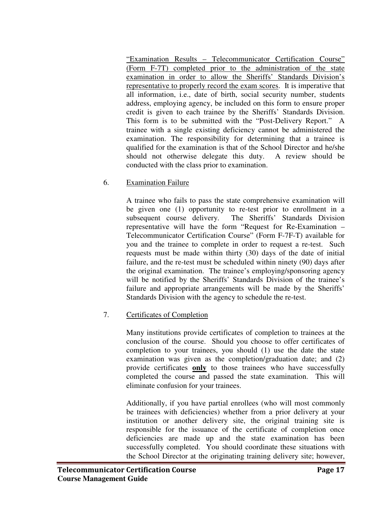"Examination Results – Telecommunicator Certification Course" (Form F-7T) completed prior to the administration of the state examination in order to allow the Sheriffs' Standards Division's representative to properly record the exam scores. It is imperative that all information, i.e., date of birth, social security number, students address, employing agency, be included on this form to ensure proper credit is given to each trainee by the Sheriffs' Standards Division. This form is to be submitted with the "Post-Delivery Report." A trainee with a single existing deficiency cannot be administered the examination. The responsibility for determining that a trainee is qualified for the examination is that of the School Director and he/she should not otherwise delegate this duty. A review should be conducted with the class prior to examination.

6. Examination Failure

A trainee who fails to pass the state comprehensive examination will be given one (1) opportunity to re-test prior to enrollment in a subsequent course delivery. The Sheriffs' Standards Division representative will have the form "Request for Re-Examination – Telecommunicator Certification Course" (Form F-7F-T) available for you and the trainee to complete in order to request a re-test. Such requests must be made within thirty (30) days of the date of initial failure, and the re-test must be scheduled within ninety (90) days after the original examination. The trainee's employing/sponsoring agency will be notified by the Sheriffs' Standards Division of the trainee's failure and appropriate arrangements will be made by the Sheriffs' Standards Division with the agency to schedule the re-test.

#### 7. Certificates of Completion

Many institutions provide certificates of completion to trainees at the conclusion of the course. Should you choose to offer certificates of completion to your trainees, you should (1) use the date the state examination was given as the completion/graduation date; and (2) provide certificates **only** to those trainees who have successfully completed the course and passed the state examination. This will eliminate confusion for your trainees.

Additionally, if you have partial enrollees (who will most commonly be trainees with deficiencies) whether from a prior delivery at your institution or another delivery site, the original training site is responsible for the issuance of the certificate of completion once deficiencies are made up and the state examination has been successfully completed. You should coordinate these situations with the School Director at the originating training delivery site; however,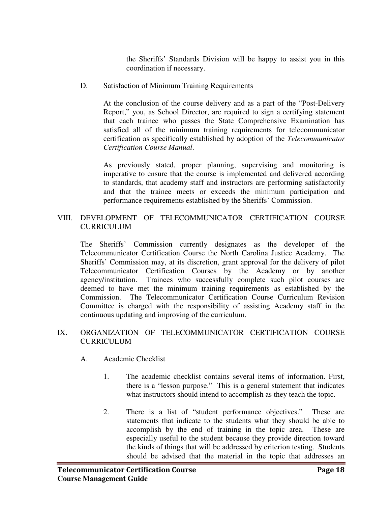the Sheriffs' Standards Division will be happy to assist you in this coordination if necessary.

D. Satisfaction of Minimum Training Requirements

At the conclusion of the course delivery and as a part of the "Post-Delivery Report," you, as School Director, are required to sign a certifying statement that each trainee who passes the State Comprehensive Examination has satisfied all of the minimum training requirements for telecommunicator certification as specifically established by adoption of the *Telecommunicator Certification Course Manual*.

As previously stated, proper planning, supervising and monitoring is imperative to ensure that the course is implemented and delivered according to standards, that academy staff and instructors are performing satisfactorily and that the trainee meets or exceeds the minimum participation and performance requirements established by the Sheriffs' Commission.

#### VIII. DEVELOPMENT OF TELECOMMUNICATOR CERTIFICATION COURSE **CURRICULUM**

The Sheriffs' Commission currently designates as the developer of the Telecommunicator Certification Course the North Carolina Justice Academy. The Sheriffs' Commission may, at its discretion, grant approval for the delivery of pilot Telecommunicator Certification Courses by the Academy or by another agency/institution. Trainees who successfully complete such pilot courses are deemed to have met the minimum training requirements as established by the Commission. The Telecommunicator Certification Course Curriculum Revision Committee is charged with the responsibility of assisting Academy staff in the continuous updating and improving of the curriculum.

#### IX. ORGANIZATION OF TELECOMMUNICATOR CERTIFICATION COURSE CURRICULUM

- A. Academic Checklist
	- 1. The academic checklist contains several items of information. First, there is a "lesson purpose." This is a general statement that indicates what instructors should intend to accomplish as they teach the topic.
	- 2. There is a list of "student performance objectives." These are statements that indicate to the students what they should be able to accomplish by the end of training in the topic area. These are especially useful to the student because they provide direction toward the kinds of things that will be addressed by criterion testing. Students should be advised that the material in the topic that addresses an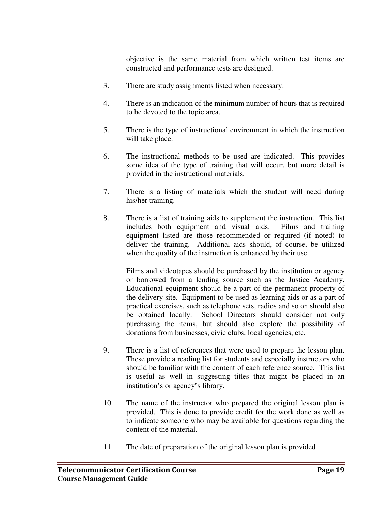objective is the same material from which written test items are constructed and performance tests are designed.

- 3. There are study assignments listed when necessary.
- 4. There is an indication of the minimum number of hours that is required to be devoted to the topic area.
- 5. There is the type of instructional environment in which the instruction will take place.
- 6. The instructional methods to be used are indicated. This provides some idea of the type of training that will occur, but more detail is provided in the instructional materials.
- 7. There is a listing of materials which the student will need during his/her training.
- 8. There is a list of training aids to supplement the instruction. This list includes both equipment and visual aids. Films and training equipment listed are those recommended or required (if noted) to deliver the training. Additional aids should, of course, be utilized when the quality of the instruction is enhanced by their use.

Films and videotapes should be purchased by the institution or agency or borrowed from a lending source such as the Justice Academy. Educational equipment should be a part of the permanent property of the delivery site. Equipment to be used as learning aids or as a part of practical exercises, such as telephone sets, radios and so on should also be obtained locally. School Directors should consider not only purchasing the items, but should also explore the possibility of donations from businesses, civic clubs, local agencies, etc.

- 9. There is a list of references that were used to prepare the lesson plan. These provide a reading list for students and especially instructors who should be familiar with the content of each reference source. This list is useful as well in suggesting titles that might be placed in an institution's or agency's library.
- 10. The name of the instructor who prepared the original lesson plan is provided. This is done to provide credit for the work done as well as to indicate someone who may be available for questions regarding the content of the material.
- 11. The date of preparation of the original lesson plan is provided.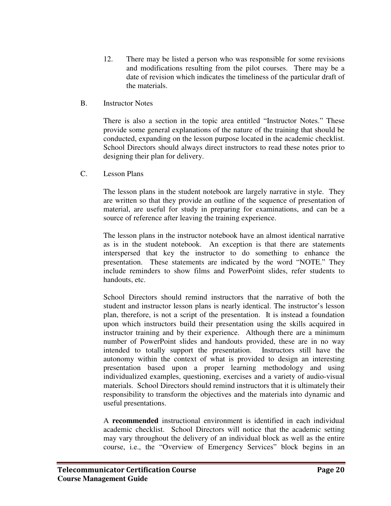- 12. There may be listed a person who was responsible for some revisions and modifications resulting from the pilot courses. There may be a date of revision which indicates the timeliness of the particular draft of the materials.
- B. Instructor Notes

There is also a section in the topic area entitled "Instructor Notes." These provide some general explanations of the nature of the training that should be conducted, expanding on the lesson purpose located in the academic checklist. School Directors should always direct instructors to read these notes prior to designing their plan for delivery.

C. Lesson Plans

The lesson plans in the student notebook are largely narrative in style. They are written so that they provide an outline of the sequence of presentation of material, are useful for study in preparing for examinations, and can be a source of reference after leaving the training experience.

The lesson plans in the instructor notebook have an almost identical narrative as is in the student notebook. An exception is that there are statements interspersed that key the instructor to do something to enhance the presentation. These statements are indicated by the word "NOTE." They include reminders to show films and PowerPoint slides, refer students to handouts, etc.

School Directors should remind instructors that the narrative of both the student and instructor lesson plans is nearly identical. The instructor's lesson plan, therefore, is not a script of the presentation. It is instead a foundation upon which instructors build their presentation using the skills acquired in instructor training and by their experience. Although there are a minimum number of PowerPoint slides and handouts provided, these are in no way intended to totally support the presentation. Instructors still have the autonomy within the context of what is provided to design an interesting presentation based upon a proper learning methodology and using individualized examples, questioning, exercises and a variety of audio-visual materials. School Directors should remind instructors that it is ultimately their responsibility to transform the objectives and the materials into dynamic and useful presentations.

A **recommended** instructional environment is identified in each individual academic checklist. School Directors will notice that the academic setting may vary throughout the delivery of an individual block as well as the entire course, i.e., the "Overview of Emergency Services" block begins in an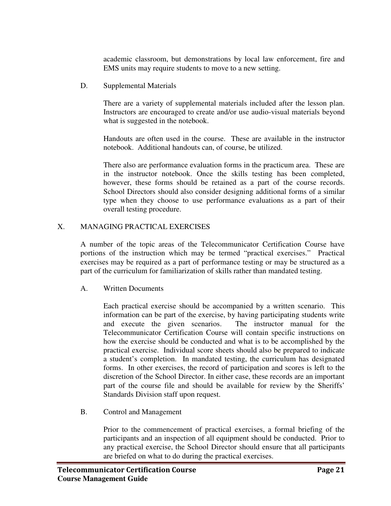academic classroom, but demonstrations by local law enforcement, fire and EMS units may require students to move to a new setting.

D. Supplemental Materials

There are a variety of supplemental materials included after the lesson plan. Instructors are encouraged to create and/or use audio-visual materials beyond what is suggested in the notebook.

Handouts are often used in the course. These are available in the instructor notebook. Additional handouts can, of course, be utilized.

There also are performance evaluation forms in the practicum area. These are in the instructor notebook. Once the skills testing has been completed, however, these forms should be retained as a part of the course records. School Directors should also consider designing additional forms of a similar type when they choose to use performance evaluations as a part of their overall testing procedure.

#### X. MANAGING PRACTICAL EXERCISES

A number of the topic areas of the Telecommunicator Certification Course have portions of the instruction which may be termed "practical exercises." Practical exercises may be required as a part of performance testing or may be structured as a part of the curriculum for familiarization of skills rather than mandated testing.

#### A. Written Documents

Each practical exercise should be accompanied by a written scenario. This information can be part of the exercise, by having participating students write and execute the given scenarios. The instructor manual for the Telecommunicator Certification Course will contain specific instructions on how the exercise should be conducted and what is to be accomplished by the practical exercise. Individual score sheets should also be prepared to indicate a student's completion. In mandated testing, the curriculum has designated forms. In other exercises, the record of participation and scores is left to the discretion of the School Director. In either case, these records are an important part of the course file and should be available for review by the Sheriffs' Standards Division staff upon request.

B. Control and Management

Prior to the commencement of practical exercises, a formal briefing of the participants and an inspection of all equipment should be conducted. Prior to any practical exercise, the School Director should ensure that all participants are briefed on what to do during the practical exercises.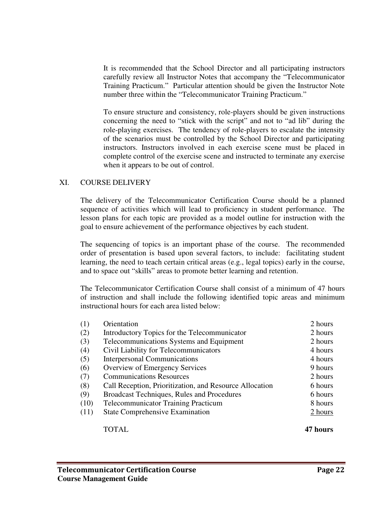It is recommended that the School Director and all participating instructors carefully review all Instructor Notes that accompany the "Telecommunicator Training Practicum." Particular attention should be given the Instructor Note number three within the "Telecommunicator Training Practicum."

To ensure structure and consistency, role-players should be given instructions concerning the need to "stick with the script" and not to "ad lib" during the role-playing exercises. The tendency of role-players to escalate the intensity of the scenarios must be controlled by the School Director and participating instructors. Instructors involved in each exercise scene must be placed in complete control of the exercise scene and instructed to terminate any exercise when it appears to be out of control.

#### XI. COURSE DELIVERY

The delivery of the Telecommunicator Certification Course should be a planned sequence of activities which will lead to proficiency in student performance. The lesson plans for each topic are provided as a model outline for instruction with the goal to ensure achievement of the performance objectives by each student.

The sequencing of topics is an important phase of the course. The recommended order of presentation is based upon several factors, to include: facilitating student learning, the need to teach certain critical areas (e.g., legal topics) early in the course, and to space out "skills" areas to promote better learning and retention.

The Telecommunicator Certification Course shall consist of a minimum of 47 hours of instruction and shall include the following identified topic areas and minimum instructional hours for each area listed below:

|      | <b>TOTAL</b>                                            | 47 hours |
|------|---------------------------------------------------------|----------|
| (11) | <b>State Comprehensive Examination</b>                  | 2 hours  |
| (10) | <b>Telecommunicator Training Practicum</b>              | 8 hours  |
| (9)  | Broadcast Techniques, Rules and Procedures              | 6 hours  |
| (8)  | Call Reception, Prioritization, and Resource Allocation | 6 hours  |
| (7)  | <b>Communications Resources</b>                         | 2 hours  |
| (6)  | Overview of Emergency Services                          | 9 hours  |
| (5)  | <b>Interpersonal Communications</b>                     | 4 hours  |
| (4)  | Civil Liability for Telecommunicators                   | 4 hours  |
| (3)  | Telecommunications Systems and Equipment                | 2 hours  |
| (2)  | Introductory Topics for the Telecommunicator            | 2 hours  |
| (1)  | Orientation                                             | 2 hours  |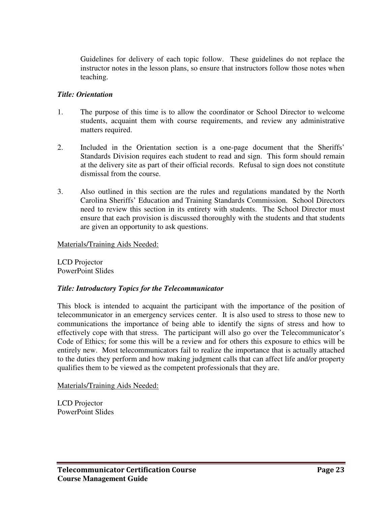Guidelines for delivery of each topic follow. These guidelines do not replace the instructor notes in the lesson plans, so ensure that instructors follow those notes when teaching.

#### *Title: Orientation*

- 1. The purpose of this time is to allow the coordinator or School Director to welcome students, acquaint them with course requirements, and review any administrative matters required.
- 2. Included in the Orientation section is a one-page document that the Sheriffs' Standards Division requires each student to read and sign. This form should remain at the delivery site as part of their official records. Refusal to sign does not constitute dismissal from the course.
- 3. Also outlined in this section are the rules and regulations mandated by the North Carolina Sheriffs' Education and Training Standards Commission. School Directors need to review this section in its entirety with students. The School Director must ensure that each provision is discussed thoroughly with the students and that students are given an opportunity to ask questions.

Materials/Training Aids Needed:

LCD Projector PowerPoint Slides

#### *Title: Introductory Topics for the Telecommunicator*

This block is intended to acquaint the participant with the importance of the position of telecommunicator in an emergency services center. It is also used to stress to those new to communications the importance of being able to identify the signs of stress and how to effectively cope with that stress. The participant will also go over the Telecommunicator's Code of Ethics; for some this will be a review and for others this exposure to ethics will be entirely new. Most telecommunicators fail to realize the importance that is actually attached to the duties they perform and how making judgment calls that can affect life and/or property qualifies them to be viewed as the competent professionals that they are.

#### Materials/Training Aids Needed:

LCD Projector PowerPoint Slides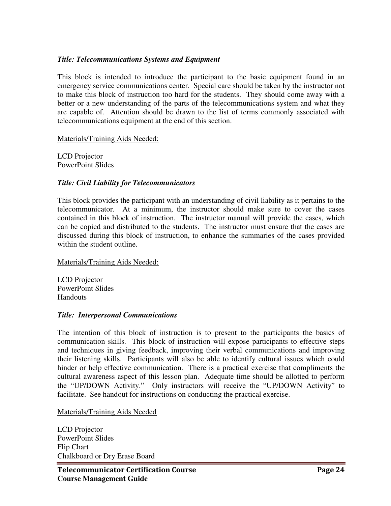#### *Title: Telecommunications Systems and Equipment*

This block is intended to introduce the participant to the basic equipment found in an emergency service communications center. Special care should be taken by the instructor not to make this block of instruction too hard for the students. They should come away with a better or a new understanding of the parts of the telecommunications system and what they are capable of. Attention should be drawn to the list of terms commonly associated with telecommunications equipment at the end of this section.

Materials/Training Aids Needed:

LCD Projector PowerPoint Slides

#### *Title: Civil Liability for Telecommunicators*

This block provides the participant with an understanding of civil liability as it pertains to the telecommunicator. At a minimum, the instructor should make sure to cover the cases contained in this block of instruction. The instructor manual will provide the cases, which can be copied and distributed to the students. The instructor must ensure that the cases are discussed during this block of instruction, to enhance the summaries of the cases provided within the student outline.

Materials/Training Aids Needed:

LCD Projector PowerPoint Slides **Handouts** 

#### *Title: Interpersonal Communications*

The intention of this block of instruction is to present to the participants the basics of communication skills. This block of instruction will expose participants to effective steps and techniques in giving feedback, improving their verbal communications and improving their listening skills. Participants will also be able to identify cultural issues which could hinder or help effective communication. There is a practical exercise that compliments the cultural awareness aspect of this lesson plan. Adequate time should be allotted to perform the "UP/DOWN Activity." Only instructors will receive the "UP/DOWN Activity" to facilitate. See handout for instructions on conducting the practical exercise.

Materials/Training Aids Needed

LCD Projector PowerPoint Slides Flip Chart Chalkboard or Dry Erase Board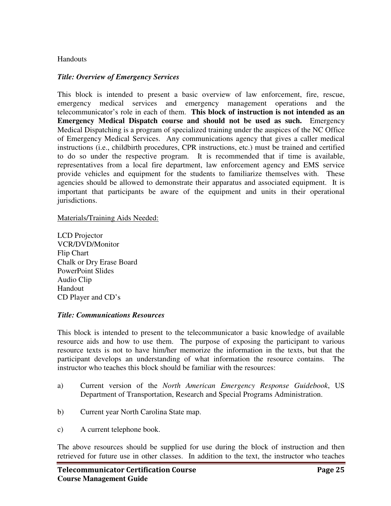#### **Handouts**

#### *Title: Overview of Emergency Services*

This block is intended to present a basic overview of law enforcement, fire, rescue, emergency medical services and emergency management operations and the telecommunicator's role in each of them. **This block of instruction is not intended as an Emergency Medical Dispatch course and should not be used as such.** Emergency Medical Dispatching is a program of specialized training under the auspices of the NC Office of Emergency Medical Services. Any communications agency that gives a caller medical instructions (i.e., childbirth procedures, CPR instructions, etc.) must be trained and certified to do so under the respective program. It is recommended that if time is available, representatives from a local fire department, law enforcement agency and EMS service provide vehicles and equipment for the students to familiarize themselves with. These agencies should be allowed to demonstrate their apparatus and associated equipment. It is important that participants be aware of the equipment and units in their operational jurisdictions.

#### Materials/Training Aids Needed:

LCD Projector VCR/DVD/Monitor Flip Chart Chalk or Dry Erase Board PowerPoint Slides Audio Clip Handout CD Player and CD's

#### *Title: Communications Resources*

This block is intended to present to the telecommunicator a basic knowledge of available resource aids and how to use them. The purpose of exposing the participant to various resource texts is not to have him/her memorize the information in the texts, but that the participant develops an understanding of what information the resource contains. The instructor who teaches this block should be familiar with the resources:

- a) Current version of the *North American Emergency Response Guidebook*, US Department of Transportation, Research and Special Programs Administration.
- b) Current year North Carolina State map.
- c) A current telephone book.

The above resources should be supplied for use during the block of instruction and then retrieved for future use in other classes. In addition to the text, the instructor who teaches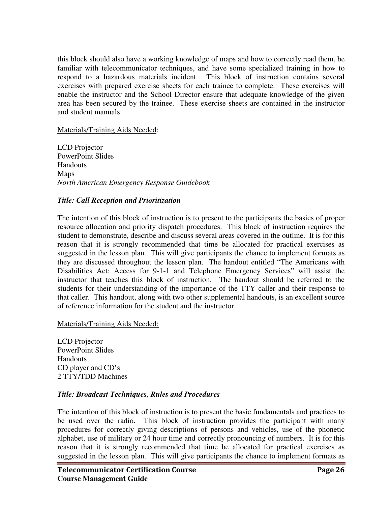this block should also have a working knowledge of maps and how to correctly read them, be familiar with telecommunicator techniques, and have some specialized training in how to respond to a hazardous materials incident. This block of instruction contains several exercises with prepared exercise sheets for each trainee to complete. These exercises will enable the instructor and the School Director ensure that adequate knowledge of the given area has been secured by the trainee. These exercise sheets are contained in the instructor and student manuals.

Materials/Training Aids Needed:

LCD Projector PowerPoint Slides **Handouts** Maps *North American Emergency Response Guidebook*

#### *Title: Call Reception and Prioritization*

The intention of this block of instruction is to present to the participants the basics of proper resource allocation and priority dispatch procedures. This block of instruction requires the student to demonstrate, describe and discuss several areas covered in the outline. It is for this reason that it is strongly recommended that time be allocated for practical exercises as suggested in the lesson plan. This will give participants the chance to implement formats as they are discussed throughout the lesson plan. The handout entitled "The Americans with Disabilities Act: Access for 9-1-1 and Telephone Emergency Services" will assist the instructor that teaches this block of instruction. The handout should be referred to the students for their understanding of the importance of the TTY caller and their response to that caller. This handout, along with two other supplemental handouts, is an excellent source of reference information for the student and the instructor.

Materials/Training Aids Needed:

LCD Projector PowerPoint Slides **Handouts** CD player and CD's 2 TTY/TDD Machines

#### *Title: Broadcast Techniques, Rules and Procedures*

The intention of this block of instruction is to present the basic fundamentals and practices to be used over the radio. This block of instruction provides the participant with many procedures for correctly giving descriptions of persons and vehicles, use of the phonetic alphabet, use of military or 24 hour time and correctly pronouncing of numbers. It is for this reason that it is strongly recommended that time be allocated for practical exercises as suggested in the lesson plan. This will give participants the chance to implement formats as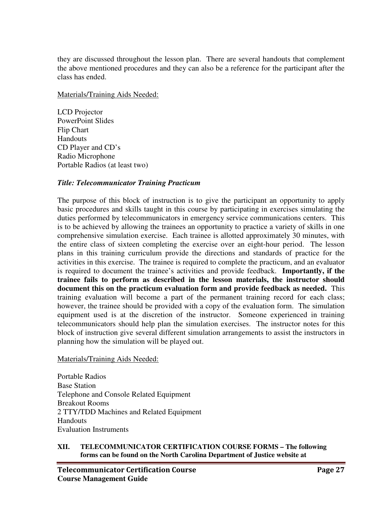they are discussed throughout the lesson plan. There are several handouts that complement the above mentioned procedures and they can also be a reference for the participant after the class has ended.

Materials/Training Aids Needed:

LCD Projector PowerPoint Slides Flip Chart **Handouts** CD Player and CD's Radio Microphone Portable Radios (at least two)

#### *Title: Telecommunicator Training Practicum*

The purpose of this block of instruction is to give the participant an opportunity to apply basic procedures and skills taught in this course by participating in exercises simulating the duties performed by telecommunicators in emergency service communications centers. This is to be achieved by allowing the trainees an opportunity to practice a variety of skills in one comprehensive simulation exercise. Each trainee is allotted approximately 30 minutes, with the entire class of sixteen completing the exercise over an eight-hour period. The lesson plans in this training curriculum provide the directions and standards of practice for the activities in this exercise. The trainee is required to complete the practicum, and an evaluator is required to document the trainee's activities and provide feedback. **Importantly, if the trainee fails to perform as described in the lesson materials, the instructor should document this on the practicum evaluation form and provide feedback as needed.** This training evaluation will become a part of the permanent training record for each class; however, the trainee should be provided with a copy of the evaluation form. The simulation equipment used is at the discretion of the instructor. Someone experienced in training telecommunicators should help plan the simulation exercises. The instructor notes for this block of instruction give several different simulation arrangements to assist the instructors in planning how the simulation will be played out.

Materials/Training Aids Needed:

Portable Radios Base Station Telephone and Console Related Equipment Breakout Rooms 2 TTY/TDD Machines and Related Equipment Handouts Evaluation Instruments

#### **XII. TELECOMMUNICATOR CERTIFICATION COURSE FORMS – The following forms can be found on the North Carolina Department of Justice website at**